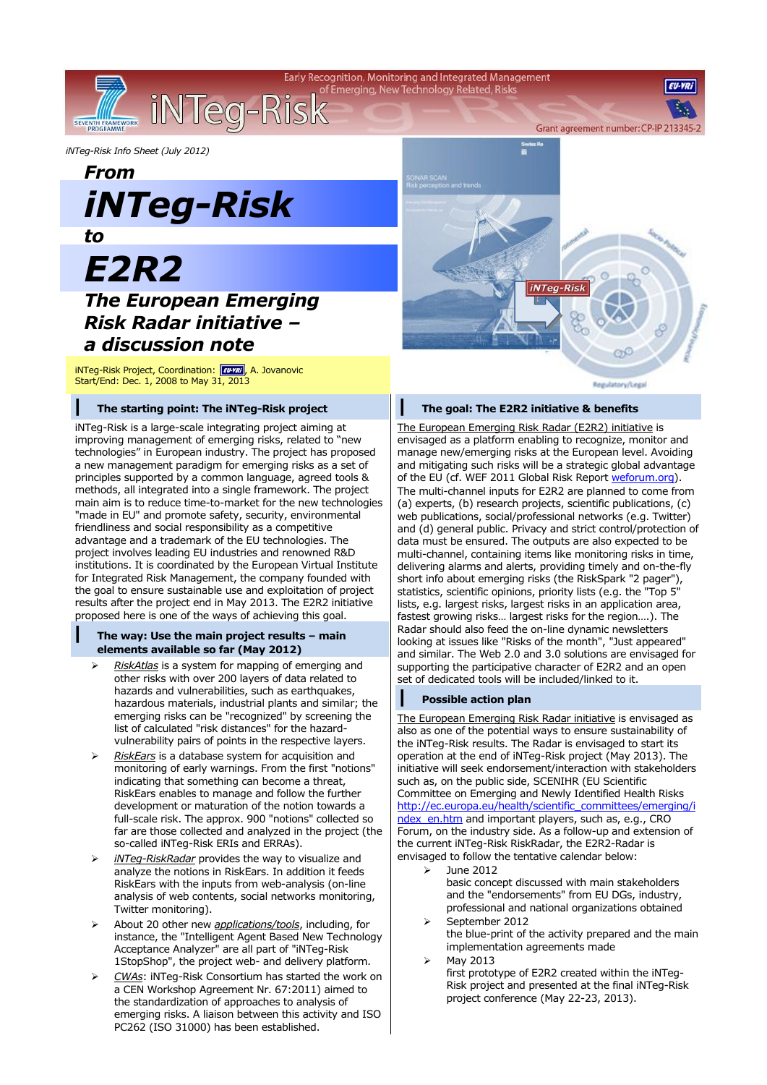Early Recognition, Monitoring and Integrated Management of Emerging, New Technology Related, Risks

*iNTeg-Risk Info Sheet (July 2012)*

*From iNTeg-Risk*

iNTeg-Risk

*to*

SEVENTH FRAMEWORK

# *E2R2*

# *The European Emerging Risk Radar initiative – a discussion note*

iNTeg-Risk Project, Coordination: **FU-YRI**, A. Jovanovic Start/End: Dec. 1, 2008 to May 31, 2013

### **| The starting point: The iNTeg-Risk project**

iNTeg-Risk is a large-scale integrating project aiming at improving management of emerging risks, related to "new technologies" in European industry. The project has proposed a new management paradigm for emerging risks as a set of principles supported by a common language, agreed tools & methods, all integrated into a single framework. The project main aim is to reduce time-to-market for the new technologies "made in EU" and promote safety, security, environmental friendliness and social responsibility as a competitive advantage and a trademark of the EU technologies. The project involves leading EU industries and renowned R&D institutions. It is coordinated by the European Virtual Institute for Integrated Risk Management, the company founded with the goal to ensure sustainable use and exploitation of project results after the project end in May 2013. The E2R2 initiative proposed here is one of the ways of achieving this goal.

#### **| The way: Use the main project results – main elements available so far (May 2012)**

- *RiskAtlas* is a system for mapping of emerging and other risks with over 200 layers of data related to hazards and vulnerabilities, such as earthquakes, hazardous materials, industrial plants and similar; the emerging risks can be "recognized" by screening the list of calculated "risk distances" for the hazardvulnerability pairs of points in the respective layers.
- *RiskEars* is a database system for acquisition and monitoring of early warnings. From the first "notions" indicating that something can become a threat, RiskEars enables to manage and follow the further development or maturation of the notion towards a full-scale risk. The approx. 900 "notions" collected so far are those collected and analyzed in the project (the so-called iNTeg-Risk ERIs and ERRAs).
- *iNTeg-RiskRadar* provides the way to visualize and analyze the notions in RiskEars. In addition it feeds RiskEars with the inputs from web-analysis (on-line analysis of web contents, social networks monitoring, Twitter monitoring).
- About 20 other new *applications/tools*, including, for instance, the "Intelligent Agent Based New Technology Acceptance Analyzer" are all part of "iNTeg-Risk 1StopShop", the project web- and delivery platform.
- *CWAs*: iNTeg-Risk Consortium has started the work on a CEN Workshop Agreement Nr. 67:2011) aimed to the standardization of approaches to analysis of emerging risks. A liaison between this activity and ISO PC262 (ISO 31000) has been established.



#### **| The goal: The E2R2 initiative & benefits**

The European Emerging Risk Radar (E2R2) initiative is envisaged as a platform enabling to recognize, monitor and manage new/emerging risks at the European level. Avoiding and mitigating such risks will be a strategic global advantage of the EU (cf. WEF 2011 Global Risk Repor[t weforum.org\)](http://www.weforum.org/). The multi-channel inputs for E2R2 are planned to come from (a) experts, (b) research projects, scientific publications, (c) web publications, social/professional networks (e.g. Twitter) and (d) general public. Privacy and strict control/protection of data must be ensured. The outputs are also expected to be multi-channel, containing items like monitoring risks in time, delivering alarms and alerts, providing timely and on-the-fly short info about emerging risks (the RiskSpark "2 pager"), statistics, scientific opinions, priority lists (e.g. the "Top 5" lists, e.g. largest risks, largest risks in an application area, fastest growing risks… largest risks for the region….). The Radar should also feed the on-line dynamic newsletters looking at issues like "Risks of the month", "Just appeared" and similar. The Web 2.0 and 3.0 solutions are envisaged for supporting the participative character of E2R2 and an open set of dedicated tools will be included/linked to it.

# **| Possible action plan**

The European Emerging Risk Radar initiative is envisaged as also as one of the potential ways to ensure sustainability of the iNTeg-Risk results. The Radar is envisaged to start its operation at the end of iNTeg-Risk project (May 2013). The initiative will seek endorsement/interaction with stakeholders such as, on the public side, SCENIHR (EU Scientific Committee on Emerging and Newly Identified Health Risks [http://ec.europa.eu/health/scientific\\_committees/emerging/i](http://ec.europa.eu/health/scientific_committees/emerging/index_en.htm) ndex en.htm and important players, such as, e.g., CRO Forum, on the industry side. As a follow-up and extension of the current iNTeg-Risk RiskRadar, the E2R2-Radar is envisaged to follow the tentative calendar below:

- $\geq$  June 2012 basic concept discussed with main stakeholders and the "endorsements" from EU DGs, industry, professional and national organizations obtained September 2012
- the blue-print of the activity prepared and the main implementation agreements made
- May 2013

first prototype of E2R2 created within the iNTeg-Risk project and presented at the final iNTeg-Risk project conference (May 22-23, 2013).

**EILVD** 

Grant agreement number: CP-IP 213345

Regulatory/Legal